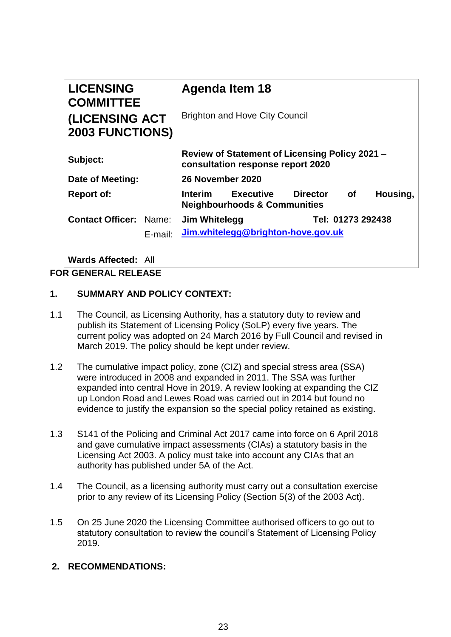| <b>LICENSING</b><br><b>COMMITTEE</b>     | <b>Agenda Item 18</b>                                                                                                     |
|------------------------------------------|---------------------------------------------------------------------------------------------------------------------------|
| (LICENSING ACT<br><b>2003 FUNCTIONS)</b> | <b>Brighton and Hove City Council</b>                                                                                     |
| Subject:                                 | Review of Statement of Licensing Policy 2021 -<br>consultation response report 2020                                       |
| Date of Meeting:                         | 26 November 2020                                                                                                          |
| <b>Report of:</b>                        | <b>Executive</b><br><b>Director</b><br>Housing,<br><b>of</b><br><b>Interim</b><br><b>Neighbourhoods &amp; Communities</b> |
| <b>Contact Officer: Name:</b>            | Tel: 01273 292438<br>Jim Whitelegg                                                                                        |
| E-mail:                                  | Jim.whitelegg@brighton-hove.gov.uk                                                                                        |

**Wards Affected:** All

## **FOR GENERAL RELEASE**

# **1. SUMMARY AND POLICY CONTEXT:**

- 1.1 The Council, as Licensing Authority, has a statutory duty to review and publish its Statement of Licensing Policy (SoLP) every five years. The current policy was adopted on 24 March 2016 by Full Council and revised in March 2019. The policy should be kept under review.
- 1.2 The cumulative impact policy, zone (CIZ) and special stress area (SSA) were introduced in 2008 and expanded in 2011. The SSA was further expanded into central Hove in 2019. A review looking at expanding the CIZ up London Road and Lewes Road was carried out in 2014 but found no evidence to justify the expansion so the special policy retained as existing.
- 1.3 S141 of the Policing and Criminal Act 2017 came into force on 6 April 2018 and gave cumulative impact assessments (CIAs) a statutory basis in the Licensing Act 2003. A policy must take into account any CIAs that an authority has published under 5A of the Act.
- 1.4 The Council, as a licensing authority must carry out a consultation exercise prior to any review of its Licensing Policy (Section 5(3) of the 2003 Act).
- 1.5 On 25 June 2020 the Licensing Committee authorised officers to go out to statutory consultation to review the council's Statement of Licensing Policy 2019.

## **2. RECOMMENDATIONS:**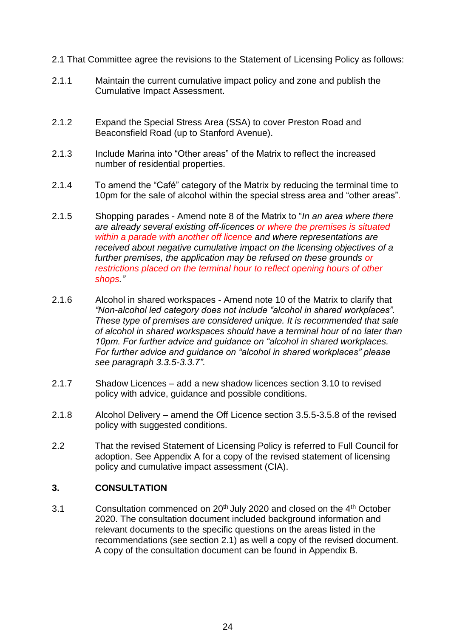- 2.1 That Committee agree the revisions to the Statement of Licensing Policy as follows:
- 2.1.1 Maintain the current cumulative impact policy and zone and publish the Cumulative Impact Assessment.
- 2.1.2 Expand the Special Stress Area (SSA) to cover Preston Road and Beaconsfield Road (up to Stanford Avenue).
- 2.1.3 Include Marina into "Other areas" of the Matrix to reflect the increased number of residential properties.
- 2.1.4 To amend the "Café" category of the Matrix by reducing the terminal time to 10pm for the sale of alcohol within the special stress area and "other areas".
- 2.1.5 Shopping parades Amend note 8 of the Matrix to "*In an area where there are already several existing off-licences or where the premises is situated within a parade with another off licence and where representations are received about negative cumulative impact on the licensing objectives of a further premises, the application may be refused on these grounds or restrictions placed on the terminal hour to reflect opening hours of other shops."*
- 2.1.6 Alcohol in shared workspaces Amend note 10 of the Matrix to clarify that *"Non-alcohol led category does not include "alcohol in shared workplaces". These type of premises are considered unique. It is recommended that sale of alcohol in shared workspaces should have a terminal hour of no later than 10pm. For further advice and guidance on "alcohol in shared workplaces. For further advice and guidance on "alcohol in shared workplaces" please see paragraph 3.3.5-3.3.7".*
- 2.1.7 Shadow Licences add a new shadow licences section 3.10 to revised policy with advice, guidance and possible conditions.
- 2.1.8 Alcohol Delivery amend the Off Licence section 3.5.5-3.5.8 of the revised policy with suggested conditions.
- 2.2 That the revised Statement of Licensing Policy is referred to Full Council for adoption. See Appendix A for a copy of the revised statement of licensing policy and cumulative impact assessment (CIA).

## **3. CONSULTATION**

3.1 Consultation commenced on  $20<sup>th</sup>$  July 2020 and closed on the  $4<sup>th</sup>$  October 2020. The consultation document included background information and relevant documents to the specific questions on the areas listed in the recommendations (see section 2.1) as well a copy of the revised document. A copy of the consultation document can be found in Appendix B.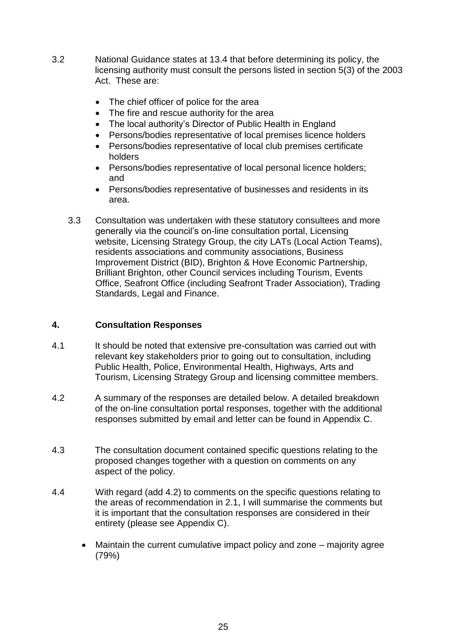- 3.2 National Guidance states at 13.4 that before determining its policy, the licensing authority must consult the persons listed in section 5(3) of the 2003 Act. These are:
	- The chief officer of police for the area
	- The fire and rescue authority for the area
	- The local authority's Director of Public Health in England
	- Persons/bodies representative of local premises licence holders
	- Persons/bodies representative of local club premises certificate holders
	- Persons/bodies representative of local personal licence holders; and
	- Persons/bodies representative of businesses and residents in its area.
	- 3.3 Consultation was undertaken with these statutory consultees and more generally via the council's on-line consultation portal, Licensing website, Licensing Strategy Group, the city LATs (Local Action Teams), residents associations and community associations, Business Improvement District (BID), Brighton & Hove Economic Partnership, Brilliant Brighton, other Council services including Tourism, Events Office, Seafront Office (including Seafront Trader Association), Trading Standards, Legal and Finance.

## **4. Consultation Responses**

- 4.1 It should be noted that extensive pre-consultation was carried out with relevant key stakeholders prior to going out to consultation, including Public Health, Police, Environmental Health, Highways, Arts and Tourism, Licensing Strategy Group and licensing committee members.
- 4.2 A summary of the responses are detailed below. A detailed breakdown of the on-line consultation portal responses, together with the additional responses submitted by email and letter can be found in Appendix C.
- 4.3 The consultation document contained specific questions relating to the proposed changes together with a question on comments on any aspect of the policy.
- 4.4 With regard (add 4.2) to comments on the specific questions relating to the areas of recommendation in 2.1, I will summarise the comments but it is important that the consultation responses are considered in their entirety (please see Appendix C).
	- Maintain the current cumulative impact policy and zone majority agree (79%)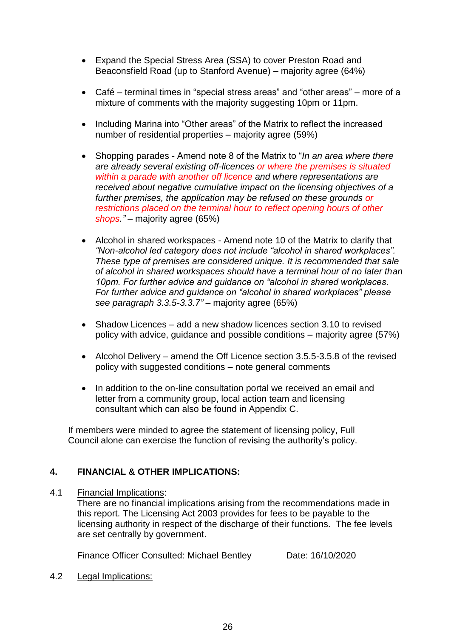- Expand the Special Stress Area (SSA) to cover Preston Road and Beaconsfield Road (up to Stanford Avenue) – majority agree (64%)
- Café terminal times in "special stress areas" and "other areas" more of a mixture of comments with the majority suggesting 10pm or 11pm.
- Including Marina into "Other areas" of the Matrix to reflect the increased number of residential properties – majority agree (59%)
- Shopping parades Amend note 8 of the Matrix to "*In an area where there are already several existing off-licences or where the premises is situated within a parade with another off licence and where representations are received about negative cumulative impact on the licensing objectives of a further premises, the application may be refused on these grounds or restrictions placed on the terminal hour to reflect opening hours of other shops."* – majority agree (65%)
- Alcohol in shared workspaces Amend note 10 of the Matrix to clarify that *"Non-alcohol led category does not include "alcohol in shared workplaces". These type of premises are considered unique. It is recommended that sale of alcohol in shared workspaces should have a terminal hour of no later than 10pm. For further advice and guidance on "alcohol in shared workplaces. For further advice and guidance on "alcohol in shared workplaces" please see paragraph 3.3.5-3.3.7"* – majority agree (65%)
- Shadow Licences add a new shadow licences section 3.10 to revised policy with advice, guidance and possible conditions – majority agree (57%)
- Alcohol Delivery amend the Off Licence section 3.5.5-3.5.8 of the revised policy with suggested conditions – note general comments
- In addition to the on-line consultation portal we received an email and letter from a community group, local action team and licensing consultant which can also be found in Appendix C.

If members were minded to agree the statement of licensing policy, Full Council alone can exercise the function of revising the authority's policy.

## **4. FINANCIAL & OTHER IMPLICATIONS:**

## 4.1 Financial Implications:

There are no financial implications arising from the recommendations made in this report. The Licensing Act 2003 provides for fees to be payable to the licensing authority in respect of the discharge of their functions. The fee levels are set centrally by government.

Finance Officer Consulted: Michael Bentley Date: 16/10/2020

4.2 Legal Implications: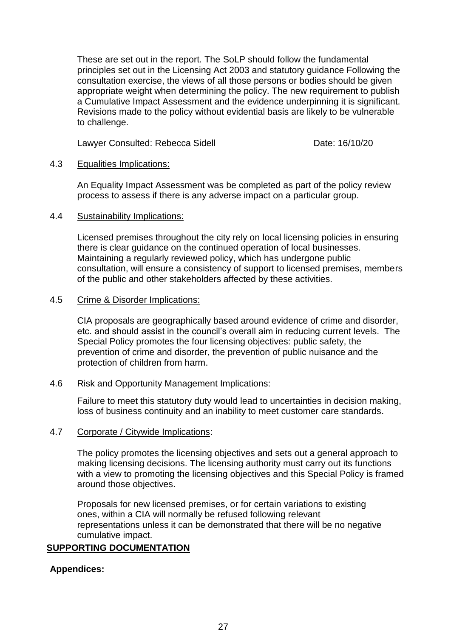These are set out in the report. The SoLP should follow the fundamental principles set out in the Licensing Act 2003 and statutory guidance Following the consultation exercise, the views of all those persons or bodies should be given appropriate weight when determining the policy. The new requirement to publish a Cumulative Impact Assessment and the evidence underpinning it is significant. Revisions made to the policy without evidential basis are likely to be vulnerable to challenge.

Lawyer Consulted: Rebecca Sidell **Date: 16/10/20** 

## 4.3 Equalities Implications:

An Equality Impact Assessment was be completed as part of the policy review process to assess if there is any adverse impact on a particular group.

#### 4.4 Sustainability Implications:

Licensed premises throughout the city rely on local licensing policies in ensuring there is clear guidance on the continued operation of local businesses. Maintaining a regularly reviewed policy, which has undergone public consultation, will ensure a consistency of support to licensed premises, members of the public and other stakeholders affected by these activities.

#### 4.5 Crime & Disorder Implications:

CIA proposals are geographically based around evidence of crime and disorder, etc. and should assist in the council's overall aim in reducing current levels. The Special Policy promotes the four licensing objectives: public safety, the prevention of crime and disorder, the prevention of public nuisance and the protection of children from harm.

#### 4.6 Risk and Opportunity Management Implications:

Failure to meet this statutory duty would lead to uncertainties in decision making, loss of business continuity and an inability to meet customer care standards.

## 4.7 Corporate / Citywide Implications:

The policy promotes the licensing objectives and sets out a general approach to making licensing decisions. The licensing authority must carry out its functions with a view to promoting the licensing objectives and this Special Policy is framed around those objectives.

Proposals for new licensed premises, or for certain variations to existing ones, within a CIA will normally be refused following relevant representations unless it can be demonstrated that there will be no negative cumulative impact.

## **SUPPORTING DOCUMENTATION**

## **Appendices:**